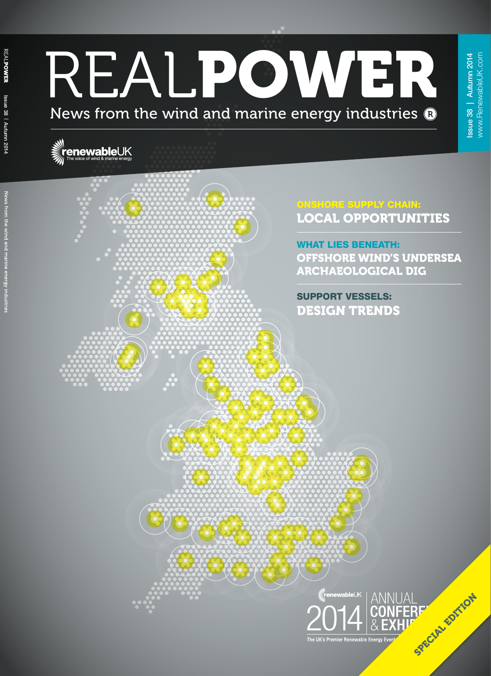# REALPOWER News from the wind and marine energy industries  $\mathbf{\Omega}$

## **enewableUK**





Issue 38 | Autumn 2014 www.RenewableUK.com

**Issue 38 | Autumn 2014** www.RenewableUK.com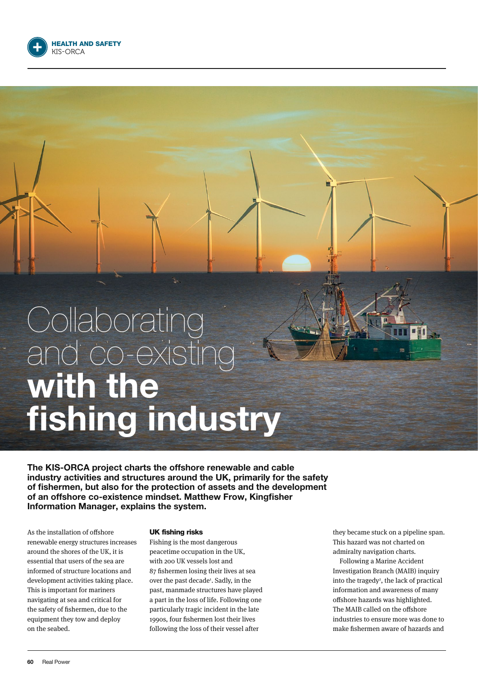

## **Collaborating** and co-existing with the fishing industry

The KIS-ORCA project charts the offshore renewable and cable industry activities and structures around the UK, primarily for the safety of fishermen, but also for the protection of assets and the development of an offshore co-existence mindset. Matthew Frow, Kingfisher Information Manager, explains the system.

As the installation of offshore renewable energy structures increases around the shores of the UK, it is essential that users of the sea are informed of structure locations and development activities taking place. This is important for mariners navigating at sea and critical for the safety of fishermen, due to the equipment they tow and deploy on the seabed.

#### UK fishing risks

Fishing is the most dangerous peacetime occupation in the UK, with 200 UK vessels lost and 87 fishermen losing their lives at sea over the past decade<sup>1</sup>. Sadly, in the past, manmade structures have played a part in the loss of life. Following one particularly tragic incident in the late 1990s, four fishermen lost their lives following the loss of their vessel after

they became stuck on a pipeline span. This hazard was not charted on admiralty navigation charts.

Following a Marine Accident Investigation Branch (MAIB) inquiry into the tragedy<sup>2</sup>, the lack of practical information and awareness of many offshore hazards was highlighted. The MAIB called on the offshore industries to ensure more was done to make fishermen aware of hazards and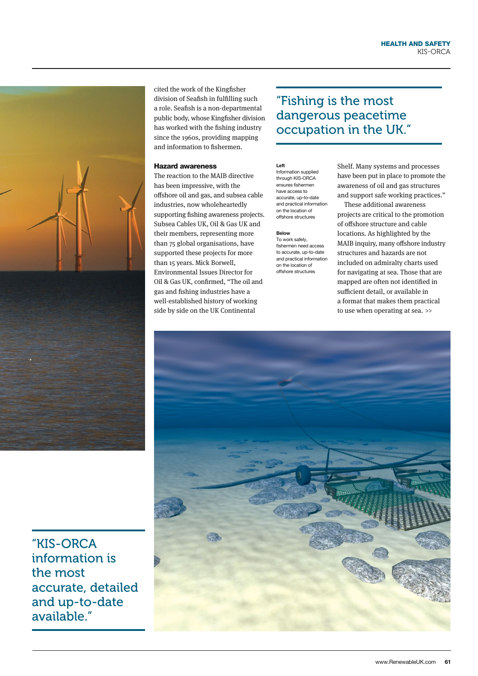

cited the work of the Kingfisher division of Seafish in fulfilling such a role. Seafish is a non-departmental public body, whose Kingfisher division has worked with the fishing industry since the 1960s, providing mapping and information to fishermen.

#### Hazard awareness

The reaction to the MAIB directive has been impressive, with the offshore oil and gas, and subsea cable industries, now wholeheartedly supporting fishing awareness projects. Subsea Cables UK, Oil & Gas UK and their members, representing more than 75 global organisations, have supported these projects for more than 15 years. Mick Borwell, Environmental Issues Director for Oil & Gas UK, confirmed, "The oil and gas and fishing industries have a well-established history of working side by side on the UK Continental

### "Fishing is the most dangerous peacetime occupation in the UK."

#### Left

Information supplied through KIS-ORCA ensures fishermen have access to accurate, up-to-date and practical information on the location of offshore structures

#### Below

To work safely, fishermen need access to accurate, up-to-date and practical information on the location of offshore structures

Shelf. Many systems and processes have been put in place to promote the awareness of oil and gas structures and support safe working practices."

These additional awareness projects are critical to the promotion of offshore structure and cable locations. As highlighted by the MAIB inquiry, many offshore industry structures and hazards are not included on admiralty charts used for navigating at sea. Those that are mapped are often not identified in sufficient detail, or available in a format that makes them practical to use when operating at sea. >>



"KIS-ORCA information is the most accurate, detailed and up-to-date available."